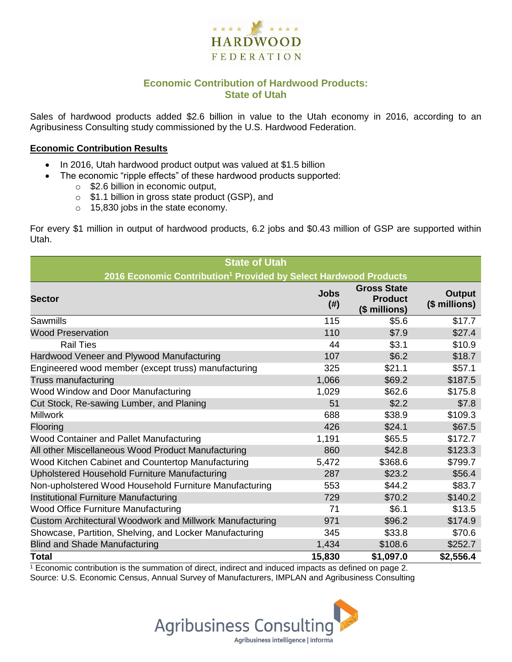

## **Economic Contribution of Hardwood Products: State of Utah**

Sales of hardwood products added \$2.6 billion in value to the Utah economy in 2016, according to an Agribusiness Consulting study commissioned by the U.S. Hardwood Federation.

#### **Economic Contribution Results**

- In 2016, Utah hardwood product output was valued at \$1.5 billion
	- The economic "ripple effects" of these hardwood products supported:
		- o \$2.6 billion in economic output,
		- o \$1.1 billion in gross state product (GSP), and
		- o 15,830 jobs in the state economy.

For every \$1 million in output of hardwood products, 6.2 jobs and \$0.43 million of GSP are supported within Utah.

| <b>State of Utah</b>                                                         |                     |                                                       |                         |  |  |  |
|------------------------------------------------------------------------------|---------------------|-------------------------------------------------------|-------------------------|--|--|--|
| 2016 Economic Contribution <sup>1</sup> Provided by Select Hardwood Products |                     |                                                       |                         |  |  |  |
| <b>Sector</b>                                                                | <b>Jobs</b><br>(# ) | <b>Gross State</b><br><b>Product</b><br>(\$ millions) | Output<br>(\$ millions) |  |  |  |
| Sawmills                                                                     | 115                 | \$5.6                                                 | \$17.7                  |  |  |  |
| <b>Wood Preservation</b>                                                     | 110                 | \$7.9                                                 | \$27.4                  |  |  |  |
| <b>Rail Ties</b>                                                             | 44                  | \$3.1                                                 | \$10.9                  |  |  |  |
| Hardwood Veneer and Plywood Manufacturing                                    | 107                 | \$6.2                                                 | \$18.7                  |  |  |  |
| Engineered wood member (except truss) manufacturing                          | 325                 | \$21.1                                                | \$57.1                  |  |  |  |
| Truss manufacturing                                                          | 1,066               | \$69.2                                                | \$187.5                 |  |  |  |
| Wood Window and Door Manufacturing                                           | 1,029               | \$62.6                                                | \$175.8                 |  |  |  |
| Cut Stock, Re-sawing Lumber, and Planing                                     | 51                  | \$2.2                                                 | \$7.8                   |  |  |  |
| <b>Millwork</b>                                                              | 688                 | \$38.9                                                | \$109.3                 |  |  |  |
| Flooring                                                                     | 426                 | \$24.1                                                | \$67.5                  |  |  |  |
| Wood Container and Pallet Manufacturing                                      | 1,191               | \$65.5                                                | \$172.7                 |  |  |  |
| All other Miscellaneous Wood Product Manufacturing                           | 860                 | \$42.8                                                | \$123.3                 |  |  |  |
| Wood Kitchen Cabinet and Countertop Manufacturing                            | 5,472               | \$368.6                                               | \$799.7                 |  |  |  |
| Upholstered Household Furniture Manufacturing                                | 287                 | \$23.2                                                | \$56.4                  |  |  |  |
| Non-upholstered Wood Household Furniture Manufacturing                       | 553                 | \$44.2                                                | \$83.7                  |  |  |  |
| Institutional Furniture Manufacturing                                        | 729                 | \$70.2                                                | \$140.2                 |  |  |  |
| Wood Office Furniture Manufacturing                                          | 71                  | \$6.1                                                 | \$13.5                  |  |  |  |
| Custom Architectural Woodwork and Millwork Manufacturing                     | 971                 | \$96.2                                                | \$174.9                 |  |  |  |
| Showcase, Partition, Shelving, and Locker Manufacturing                      | 345                 | \$33.8                                                | \$70.6                  |  |  |  |
| <b>Blind and Shade Manufacturing</b>                                         | 1,434               | \$108.6                                               | \$252.7                 |  |  |  |
| <b>Total</b>                                                                 | 15,830              | \$1,097.0                                             | \$2,556.4               |  |  |  |

 $1$  Economic contribution is the summation of direct, indirect and induced impacts as defined on page 2. Source: U.S. Economic Census, Annual Survey of Manufacturers, IMPLAN and Agribusiness Consulting